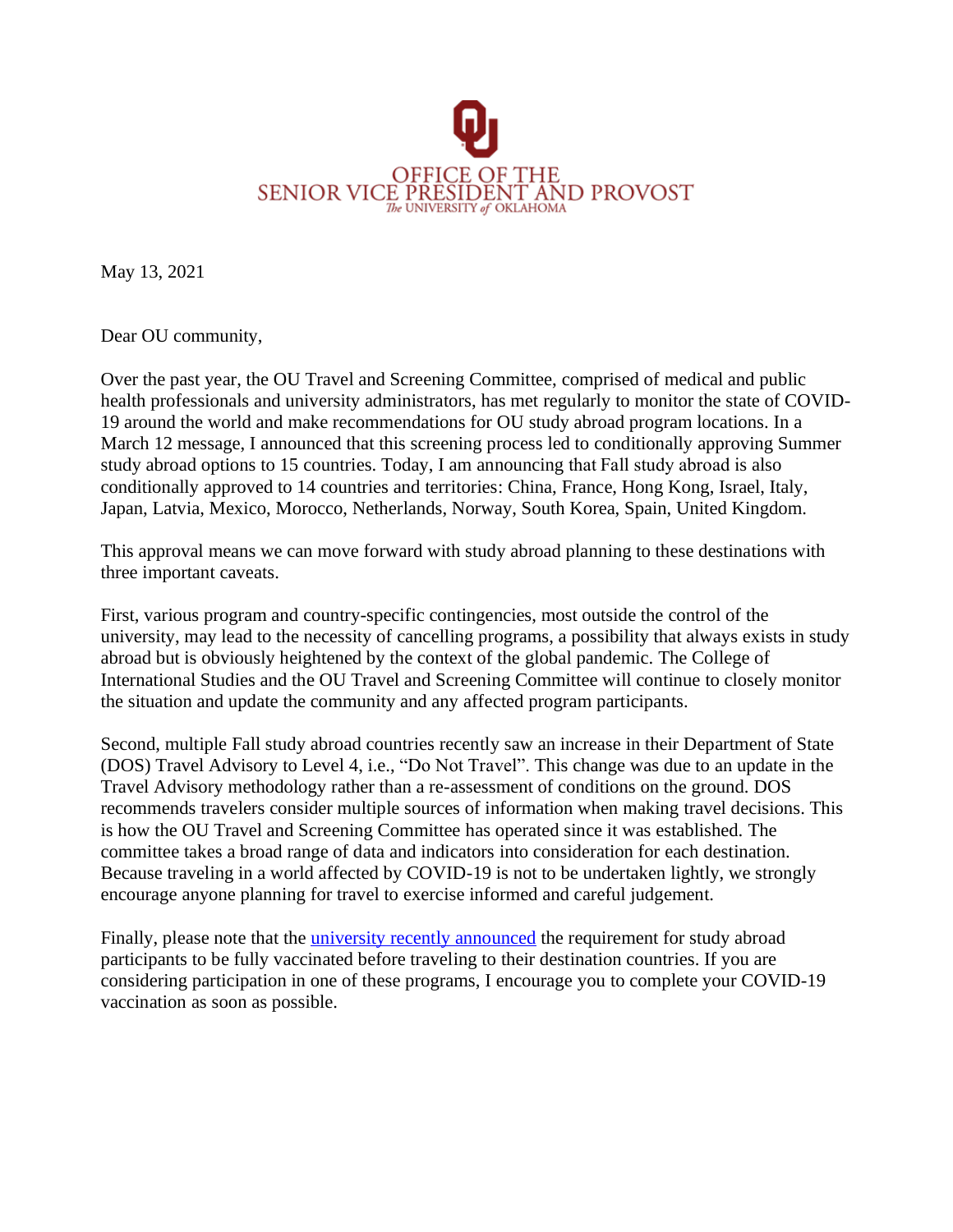

May 13, 2021

Dear OU community,

Over the past year, the OU Travel and Screening Committee, comprised of medical and public health professionals and university administrators, has met regularly to monitor the state of COVID-19 around the world and make recommendations for OU study abroad program locations. In a March 12 message, I announced that this screening process led to conditionally approving Summer study abroad options to 15 countries. Today, I am announcing that Fall study abroad is also conditionally approved to 14 countries and territories: China, France, Hong Kong, Israel, Italy, Japan, Latvia, Mexico, Morocco, Netherlands, Norway, South Korea, Spain, United Kingdom.

This approval means we can move forward with study abroad planning to these destinations with three important caveats.

First, various program and country-specific contingencies, most outside the control of the university, may lead to the necessity of cancelling programs, a possibility that always exists in study abroad but is obviously heightened by the context of the global pandemic. The College of International Studies and the OU Travel and Screening Committee will continue to closely monitor the situation and update the community and any affected program participants.

Second, multiple Fall study abroad countries recently saw an increase in their Department of State (DOS) Travel Advisory to Level 4, i.e., "Do Not Travel". This change was due to an update in the Travel Advisory methodology rather than a re-assessment of conditions on the ground. DOS recommends travelers consider multiple sources of information when making travel decisions. This is how the OU Travel and Screening Committee has operated since it was established. The committee takes a broad range of data and indicators into consideration for each destination. Because traveling in a world affected by COVID-19 is not to be undertaken lightly, we strongly encourage anyone planning for travel to exercise informed and careful judgement.

Finally, please note that the *university recently announced* the requirement for study abroad participants to be fully vaccinated before traveling to their destination countries. If you are considering participation in one of these programs, I encourage you to complete your COVID-19 vaccination as soon as possible.